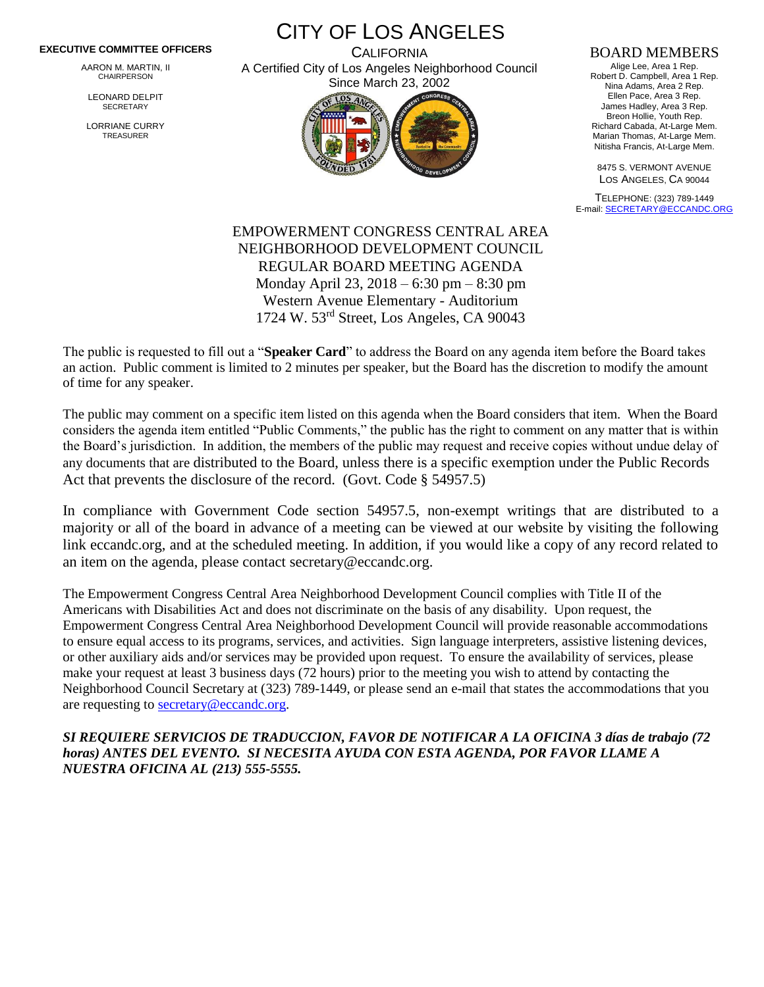## **EXECUTIVE COMMITTEE OFFICERS**

AARON M. MARTIN, II CHAIRPERSON

LEONARD DELPIT **SECRETARY** 

LORRIANE CURRY TREASURER

CITY OF LOS ANGELES **CALIFORNIA** A Certified City of Los Angeles Neighborhood Council



## BOARD MEMBERS

Alige Lee, Area 1 Rep. Robert D. Campbell, Area 1 Rep. Nina Adams, Area 2 Rep. Ellen Pace, Area 3 Rep. James Hadley, Area 3 Rep. Breon Hollie, Youth Rep. Richard Cabada, At-Large Mem. Marian Thomas, At-Large Mem. Nitisha Francis, At-Large Mem.

8475 S. VERMONT AVENUE LOS ANGELES, CA 90044

TELEPHONE: (323) 789-1449 E-mail[: SECRETARY@ECCANDC.ORG](mailto:SECRETARY@ECCANDC.ORG)

## EMPOWERMENT CONGRESS CENTRAL AREA NEIGHBORHOOD DEVELOPMENT COUNCIL REGULAR BOARD MEETING AGENDA Monday April 23, 2018 – 6:30 pm – 8:30 pm Western Avenue Elementary - Auditorium 1724 W. 53rd Street, Los Angeles, CA 90043

The public is requested to fill out a "**Speaker Card**" to address the Board on any agenda item before the Board takes an action. Public comment is limited to 2 minutes per speaker, but the Board has the discretion to modify the amount of time for any speaker.

The public may comment on a specific item listed on this agenda when the Board considers that item. When the Board considers the agenda item entitled "Public Comments," the public has the right to comment on any matter that is within the Board's jurisdiction. In addition, the members of the public may request and receive copies without undue delay of any documents that are distributed to the Board, unless there is a specific exemption under the Public Records Act that prevents the disclosure of the record. (Govt. Code § 54957.5)

In compliance with Government Code section 54957.5, non-exempt writings that are distributed to a majority or all of the board in advance of a meeting can be viewed at our website by visiting the following link eccandc.org, and at the scheduled meeting. In addition, if you would like a copy of any record related to an item on the agenda, please contact secretary@eccandc.org.

The Empowerment Congress Central Area Neighborhood Development Council complies with Title II of the Americans with Disabilities Act and does not discriminate on the basis of any disability. Upon request, the Empowerment Congress Central Area Neighborhood Development Council will provide reasonable accommodations to ensure equal access to its programs, services, and activities. Sign language interpreters, assistive listening devices, or other auxiliary aids and/or services may be provided upon request. To ensure the availability of services, please make your request at least 3 business days (72 hours) prior to the meeting you wish to attend by contacting the Neighborhood Council Secretary at (323) 789-1449, or please send an e-mail that states the accommodations that you are requesting to [secretary@eccandc.org.](mailto:secretary@eccandc.org)

*SI REQUIERE SERVICIOS DE TRADUCCION, FAVOR DE NOTIFICAR A LA OFICINA 3 días de trabajo (72 horas) ANTES DEL EVENTO. SI NECESITA AYUDA CON ESTA AGENDA, POR FAVOR LLAME A NUESTRA OFICINA AL (213) 555-5555.*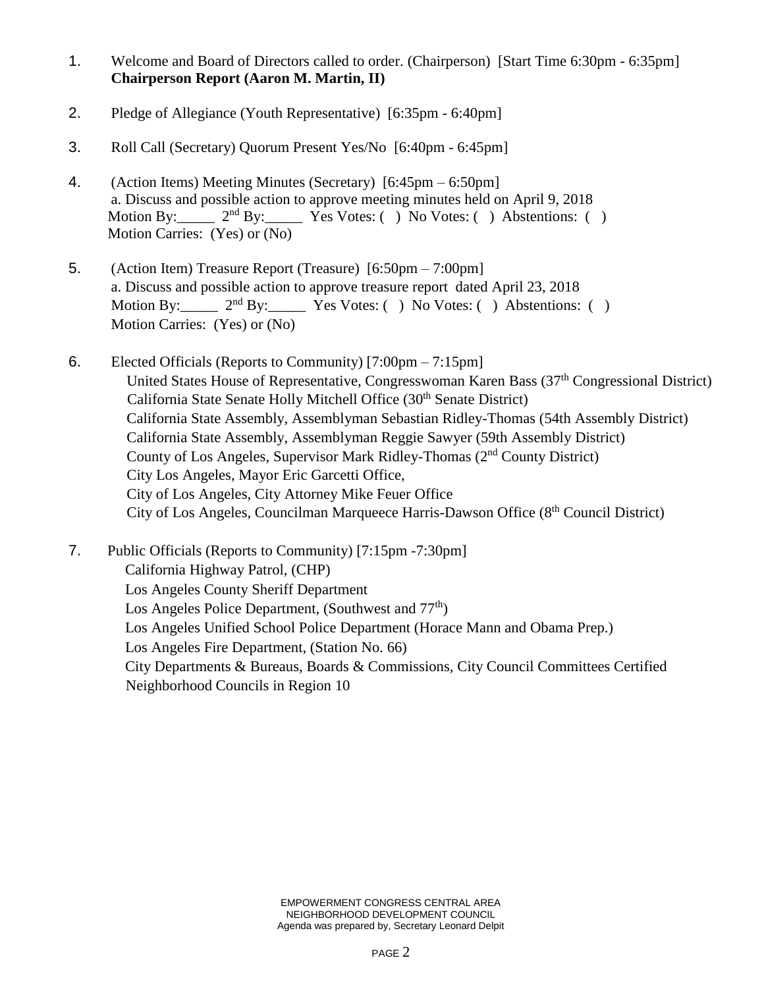- 1. Welcome and Board of Directors called to order. (Chairperson) [Start Time 6:30pm 6:35pm] **Chairperson Report (Aaron M. Martin, II)**
- 2. Pledge of Allegiance (Youth Representative) [6:35pm 6:40pm]
- 3. Roll Call (Secretary) Quorum Present Yes/No [6:40pm 6:45pm]
- 4. (Action Items) Meeting Minutes (Secretary) [6:45pm 6:50pm] a. Discuss and possible action to approve meeting minutes held on April 9, 2018<br>Motion By:  $2^{nd}$  By: Yes Votes: () No Votes: () Abstentions: (  $2<sup>nd</sup> By:$  Yes Votes: ( ) No Votes: ( ) Abstentions: ( ) Motion Carries: (Yes) or (No)
- 5. (Action Item) Treasure Report (Treasure) [6:50pm 7:00pm] a. Discuss and possible action to approve treasure report dated April 23, 2018 Motion By:  $2<sup>nd</sup> By: Yes Votes: () No Votes: () Abstentions: ()$ Motion Carries: (Yes) or (No)
- 6. Elected Officials (Reports to Community) [7:00pm 7:15pm] United States House of Representative, Congresswoman Karen Bass (37<sup>th</sup> Congressional District) California State Senate Holly Mitchell Office (30<sup>th</sup> Senate District) California State Assembly, Assemblyman Sebastian Ridley-Thomas (54th Assembly District) California State Assembly, Assemblyman Reggie Sawyer (59th Assembly District) County of Los Angeles, Supervisor Mark Ridley-Thomas (2nd County District) City Los Angeles, Mayor Eric Garcetti Office, City of Los Angeles, City Attorney Mike Feuer Office City of Los Angeles, Councilman Marqueece Harris-Dawson Office (8th Council District)
- 7. Public Officials (Reports to Community) [7:15pm -7:30pm] California Highway Patrol, (CHP) Los Angeles County Sheriff Department Los Angeles Police Department, (Southwest and  $77<sup>th</sup>$ ) Los Angeles Unified School Police Department (Horace Mann and Obama Prep.) Los Angeles Fire Department, (Station No. 66) City Departments & Bureaus, Boards & Commissions, City Council Committees Certified Neighborhood Councils in Region 10